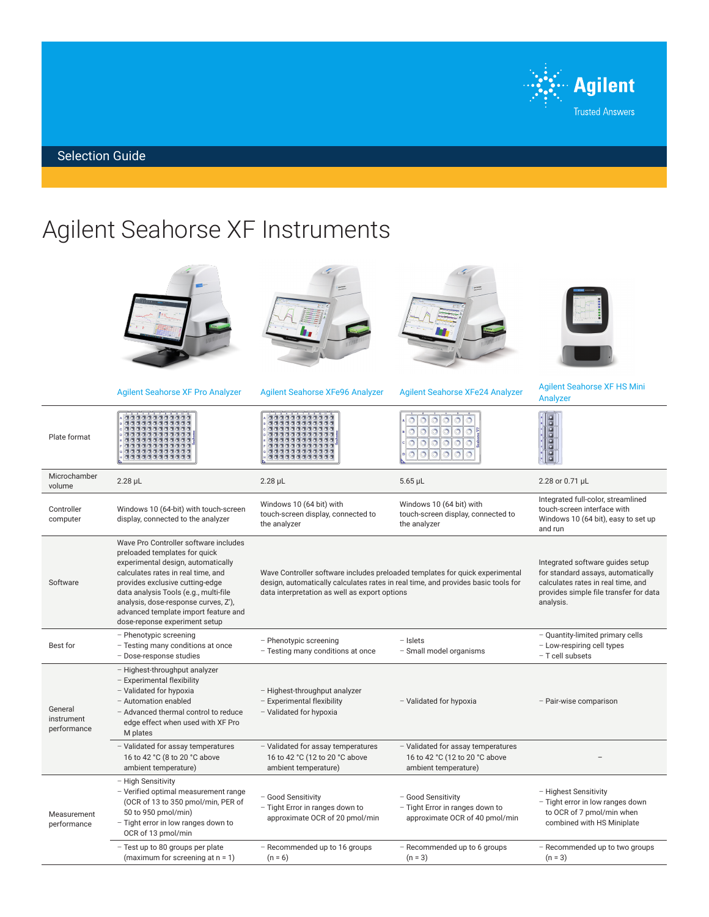

Selection Guide

## Agilent Seahorse XF Instruments

|                                      |                                                                                                                                                                                                                                                                                                                                                 | <b>Marian</b>                                                                                                                                                                                                      | <b>Springer</b><br>Thomas Para                                                               |                                                                                                                                                                     |
|--------------------------------------|-------------------------------------------------------------------------------------------------------------------------------------------------------------------------------------------------------------------------------------------------------------------------------------------------------------------------------------------------|--------------------------------------------------------------------------------------------------------------------------------------------------------------------------------------------------------------------|----------------------------------------------------------------------------------------------|---------------------------------------------------------------------------------------------------------------------------------------------------------------------|
|                                      | <b>Agilent Seahorse XF Pro Analyzer</b>                                                                                                                                                                                                                                                                                                         | <b>Agilent Seahorse XFe96 Analyzer</b>                                                                                                                                                                             | <b>Agilent Seahorse XFe24 Analyzer</b>                                                       | <b>Agilent Seahorse XF HS Mini</b><br>Analyzer                                                                                                                      |
| Plate format                         |                                                                                                                                                                                                                                                                                                                                                 |                                                                                                                                                                                                                    | $\odot$<br>$\circ$<br>$\circ$<br>$\circ$<br>$\odot$                                          |                                                                                                                                                                     |
| Microchamber<br>volume               | $2.28$ $\mu$ L                                                                                                                                                                                                                                                                                                                                  | $2.28$ $\mu$ L                                                                                                                                                                                                     | $5.65$ µL                                                                                    | 2.28 or 0.71 µL                                                                                                                                                     |
| Controller<br>computer               | Windows 10 (64-bit) with touch-screen<br>display, connected to the analyzer                                                                                                                                                                                                                                                                     | Windows 10 (64 bit) with<br>touch-screen display, connected to<br>the analyzer                                                                                                                                     | Windows 10 (64 bit) with<br>touch-screen display, connected to<br>the analyzer               | Integrated full-color, streamlined<br>touch-screen interface with<br>Windows 10 (64 bit), easy to set up<br>and run                                                 |
| Software                             | Wave Pro Controller software includes<br>preloaded templates for quick<br>experimental design, automatically<br>calculates rates in real time, and<br>provides exclusive cutting-edge<br>data analysis Tools (e.g., multi-file<br>analysis, dose-response curves, Z'),<br>advanced template import feature and<br>dose-reponse experiment setup | Wave Controller software includes preloaded templates for quick experimental<br>design, automatically calculates rates in real time, and provides basic tools for<br>data interpretation as well as export options |                                                                                              | Integrated software guides setup<br>for standard assays, automatically<br>calculates rates in real time, and<br>provides simple file transfer for data<br>analysis. |
| Best for                             | - Phenotypic screening<br>- Testing many conditions at once<br>- Dose-response studies                                                                                                                                                                                                                                                          | - Phenotypic screening<br>- Testing many conditions at once                                                                                                                                                        | $-$ Islets<br>- Small model organisms                                                        | - Quantity-limited primary cells<br>- Low-respiring cell types<br>- T cell subsets                                                                                  |
| General<br>instrument<br>performance | - Highest-throughput analyzer<br>- Experimental flexibility<br>- Validated for hypoxia<br>- Automation enabled<br>- Advanced thermal control to reduce<br>edge effect when used with XF Pro<br>M plates                                                                                                                                         | - Highest-throughput analyzer<br>- Experimental flexibility<br>- Validated for hypoxia                                                                                                                             | - Validated for hypoxia                                                                      | - Pair-wise comparison                                                                                                                                              |
|                                      | - Validated for assay temperatures<br>16 to 42 °C (8 to 20 °C above<br>ambient temperature)                                                                                                                                                                                                                                                     | - Validated for assay temperatures<br>16 to 42 °C (12 to 20 °C above<br>ambient temperature)                                                                                                                       | - Validated for assay temperatures<br>16 to 42 °C (12 to 20 °C above<br>ambient temperature) |                                                                                                                                                                     |
| Measurement<br>performance           | - High Sensitivity<br>- Verified optimal measurement range<br>(OCR of 13 to 350 pmol/min, PER of<br>50 to 950 pmol/min)<br>- Tight error in low ranges down to<br>OCR of 13 pmol/min                                                                                                                                                            | - Good Sensitivity<br>- Tight Error in ranges down to<br>approximate OCR of 20 pmol/min                                                                                                                            | - Good Sensitivity<br>- Tight Error in ranges down to<br>approximate OCR of 40 pmol/min      | - Highest Sensitivity<br>- Tight error in low ranges down<br>to OCR of 7 pmol/min when<br>combined with HS Miniplate                                                |
|                                      | - Test up to 80 groups per plate<br>(maximum for screening at $n = 1$ )                                                                                                                                                                                                                                                                         | - Recommended up to 16 groups<br>$(n = 6)$                                                                                                                                                                         | - Recommended up to 6 groups<br>$(n = 3)$                                                    | - Recommended up to two groups<br>$(n = 3)$                                                                                                                         |